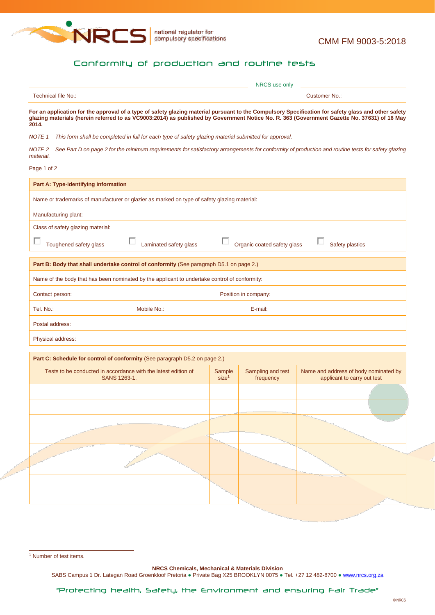

## <span id="page-0-0"></span>Conformity of production and routine tests

|                                                                                                                                                                                                                                                                                                             |                                                | NRCS use only                  |                                                                      |  |  |  |  |
|-------------------------------------------------------------------------------------------------------------------------------------------------------------------------------------------------------------------------------------------------------------------------------------------------------------|------------------------------------------------|--------------------------------|----------------------------------------------------------------------|--|--|--|--|
| Technical file No.:                                                                                                                                                                                                                                                                                         | <b>Customer No.:</b>                           |                                |                                                                      |  |  |  |  |
| For an application for the approval of a type of safety glazing material pursuant to the Compulsory Specification for safety glass and other safety<br>glazing materials (herein referred to as VC9003:2014) as published by Government Notice No. R. 363 (Government Gazette No. 37631) of 16 May<br>2014. |                                                |                                |                                                                      |  |  |  |  |
| <b>NOTE 1</b><br>This form shall be completed in full for each type of safety glazing material submitted for approval.                                                                                                                                                                                      |                                                |                                |                                                                      |  |  |  |  |
| NOTE <sub>2</sub><br>See Part D on page 2 for the minimum requirements for satisfactory arrangements for conformity of production and routine tests for safety glazing<br>material.                                                                                                                         |                                                |                                |                                                                      |  |  |  |  |
| Page 1 of 2                                                                                                                                                                                                                                                                                                 |                                                |                                |                                                                      |  |  |  |  |
| Part A: Type-identifying information                                                                                                                                                                                                                                                                        |                                                |                                |                                                                      |  |  |  |  |
| Name or trademarks of manufacturer or glazier as marked on type of safety glazing material:                                                                                                                                                                                                                 |                                                |                                |                                                                      |  |  |  |  |
| Manufacturing plant:                                                                                                                                                                                                                                                                                        |                                                |                                |                                                                      |  |  |  |  |
| Class of safety glazing material:                                                                                                                                                                                                                                                                           |                                                |                                |                                                                      |  |  |  |  |
| Laminated safety glass<br>Toughened safety glass                                                                                                                                                                                                                                                            | Organic coated safety glass<br>Safety plastics |                                |                                                                      |  |  |  |  |
| Part B: Body that shall undertake control of conformity (See paragraph D5.1 on page 2.)                                                                                                                                                                                                                     |                                                |                                |                                                                      |  |  |  |  |
| Name of the body that has been nominated by the applicant to undertake control of conformity:                                                                                                                                                                                                               |                                                |                                |                                                                      |  |  |  |  |
| Contact person:<br>Position in company:                                                                                                                                                                                                                                                                     |                                                |                                |                                                                      |  |  |  |  |
| Tel. No.:<br>Mobile No.:                                                                                                                                                                                                                                                                                    |                                                | E-mail:                        |                                                                      |  |  |  |  |
| Postal address:                                                                                                                                                                                                                                                                                             |                                                |                                |                                                                      |  |  |  |  |
| Physical address:                                                                                                                                                                                                                                                                                           |                                                |                                |                                                                      |  |  |  |  |
| Part C: Schedule for control of conformity (See paragraph D5.2 on page 2.)                                                                                                                                                                                                                                  |                                                |                                |                                                                      |  |  |  |  |
| Tests to be conducted in accordance with the latest edition of<br>SANS 1263-1.                                                                                                                                                                                                                              | Sample<br>size <sup>1</sup>                    | Sampling and test<br>frequency | Name and address of body nominated by<br>applicant to carry out test |  |  |  |  |
|                                                                                                                                                                                                                                                                                                             |                                                |                                |                                                                      |  |  |  |  |
|                                                                                                                                                                                                                                                                                                             |                                                |                                |                                                                      |  |  |  |  |
|                                                                                                                                                                                                                                                                                                             |                                                |                                |                                                                      |  |  |  |  |
|                                                                                                                                                                                                                                                                                                             |                                                |                                |                                                                      |  |  |  |  |
|                                                                                                                                                                                                                                                                                                             |                                                |                                |                                                                      |  |  |  |  |
|                                                                                                                                                                                                                                                                                                             |                                                |                                |                                                                      |  |  |  |  |
|                                                                                                                                                                                                                                                                                                             |                                                |                                |                                                                      |  |  |  |  |
|                                                                                                                                                                                                                                                                                                             |                                                |                                |                                                                      |  |  |  |  |
|                                                                                                                                                                                                                                                                                                             |                                                |                                |                                                                      |  |  |  |  |

**NRCS Chemicals, Mechanical & Materials Division**

SABS Campus 1 Dr. Lategan Road Groenkloof Pretoria . Private Bag X25 BROOKLYN 0075 . Tel. +27 12 482-8700 . [www.nrcs.org.za](http://www.nrcs.org.za/)

<sup>-</sup><sup>1</sup> Number of test items.